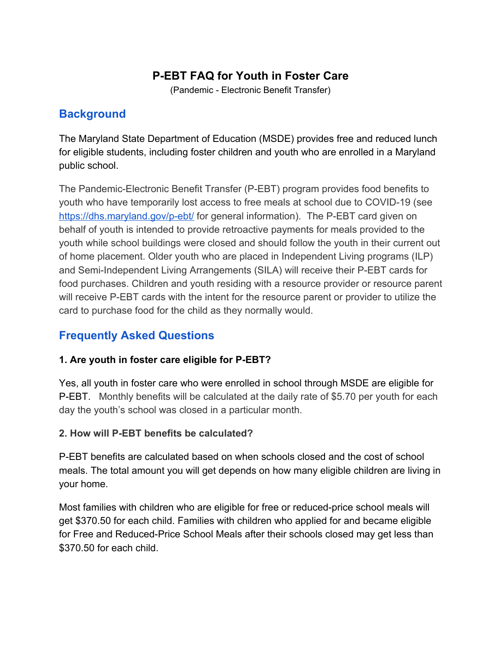# **P-EBT FAQ for Youth in Foster Care**

(Pandemic - Electronic Benefit Transfer)

## **Background**

The Maryland State Department of Education (MSDE) provides free and reduced lunch for eligible students, including foster children and youth who are enrolled in a Maryland public school.

The Pandemic-Electronic Benefit Transfer (P-EBT) program provides food benefits to youth who have temporarily lost access to free meals at school due to COVID-19 (see <https://dhs.maryland.gov/p-ebt/>for general information). The P-EBT card given on behalf of youth is intended to provide retroactive payments for meals provided to the youth while school buildings were closed and should follow the youth in their current out of home placement. Older youth who are placed in Independent Living programs (ILP) and Semi-Independent Living Arrangements (SILA) will receive their P-EBT cards for food purchases. Children and youth residing with a resource provider or resource parent will receive P-EBT cards with the intent for the resource parent or provider to utilize the card to purchase food for the child as they normally would.

# **Frequently Asked Questions**

### **1. Are youth in foster care eligible for P-EBT?**

Yes, all youth in foster care who were enrolled in school through MSDE are eligible for P-EBT. Monthly benefits will be calculated at the daily rate of \$5.70 per youth for each day the youth's school was closed in a particular month.

#### **2. How will P-EBT benefits be calculated?**

P-EBT benefits are calculated based on when schools closed and the cost of school meals. The total amount you will get depends on how many eligible children are living in your home.

Most families with children who are eligible for free or reduced-price school meals will get \$370.50 for each child. Families with children who applied for and became eligible for Free and Reduced-Price School Meals after their schools closed may get less than \$370.50 for each child.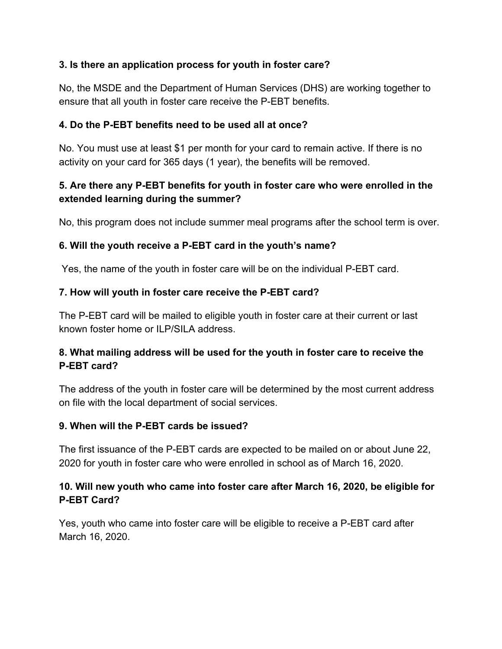#### **3. Is there an application process for youth in foster care?**

No, the MSDE and the Department of Human Services (DHS) are working together to ensure that all youth in foster care receive the P-EBT benefits.

#### **4. Do the P-EBT benefits need to be used all at once?**

No. You must use at least \$1 per month for your card to remain active. If there is no activity on your card for 365 days (1 year), the benefits will be removed.

### **5. Are there any P-EBT benefits for youth in foster care who were enrolled in the extended learning during the summer?**

No, this program does not include summer meal programs after the school term is over.

### **6. Will the youth receive a P-EBT card in the youth's name?**

Yes, the name of the youth in foster care will be on the individual P-EBT card.

### **7. How will youth in foster care receive the P-EBT card?**

The P-EBT card will be mailed to eligible youth in foster care at their current or last known foster home or ILP/SILA address.

## **8. What mailing address will be used for the youth in foster care to receive the P-EBT card?**

The address of the youth in foster care will be determined by the most current address on file with the local department of social services.

### **9. When will the P-EBT cards be issued?**

The first issuance of the P-EBT cards are expected to be mailed on or about June 22, 2020 for youth in foster care who were enrolled in school as of March 16, 2020.

## **10. Will new youth who came into foster care after March 16, 2020, be eligible for P-EBT Card?**

Yes, youth who came into foster care will be eligible to receive a P-EBT card after March 16, 2020.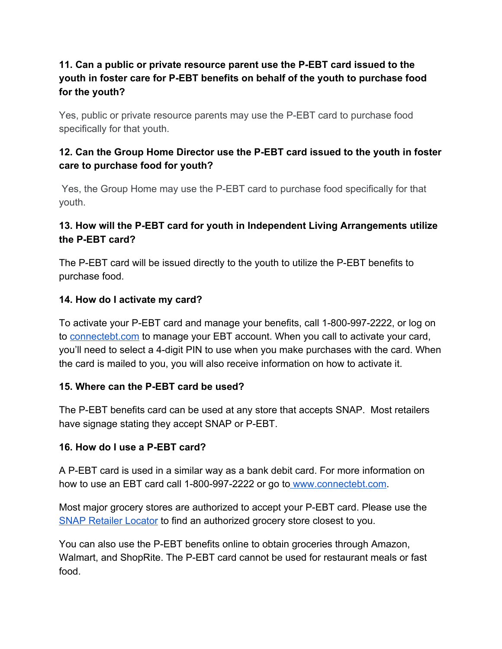## **11. Can a public or private resource parent use the P-EBT card issued to the youth in foster care for P-EBT benefits on behalf of the youth to purchase food for the youth?**

Yes, public or private resource parents may use the P-EBT card to purchase food specifically for that youth.

## **12. Can the Group Home Director use the P-EBT card issued to the youth in foster care to purchase food for youth?**

Yes, the Group Home may use the P-EBT card to purchase food specifically for that youth.

### **13. How will the P-EBT card for youth in Independent Living Arrangements utilize the P-EBT card?**

The P-EBT card will be issued directly to the youth to utilize the P-EBT benefits to purchase food.

#### **14. How do I activate my card?**

To activate your P-EBT card and manage your benefits, call 1-800-997-2222, or log on to [connectebt.com](http://www.connectebt.com/) to manage your EBT account. When you call to activate your card, you'll need to select a 4-digit PIN to use when you make purchases with the card. When the card is mailed to you, you will also receive information on how to activate it.

### **15. Where can the P-EBT card be used?**

The P-EBT benefits card can be used at any store that accepts SNAP. Most retailers have signage stating they accept SNAP or P-EBT.

#### **16. How do I use a P-EBT card?**

A P-EBT card is used in a similar way as a bank debit card. For more information on how to use an EBT card call 1-800-997-2222 or go to [www.connectebt.com.](http://www.connectebt.com/)

Most major grocery stores are authorized to accept your P-EBT card. Please use th[e](https://www.fns.usda.gov/snap/retailer-locator) [SNAP Retailer Locator](https://www.fns.usda.gov/snap/retailer-locator) to find an authorized grocery store closest to you.

You can also use the P-EBT benefits online to obtain groceries through Amazon, Walmart, and ShopRite. The P-EBT card cannot be used for restaurant meals or fast food.